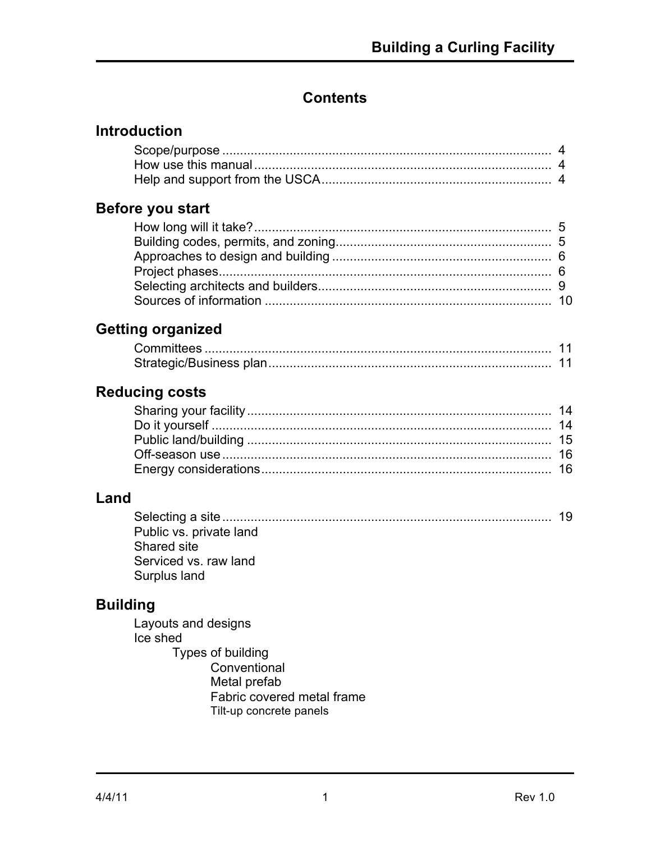# **Contents**

## **Introduction**

## **Before you start**

# **Getting organized**

## **Reducing costs**

# **Land**

| Public vs. private land |  |
|-------------------------|--|
| Shared site             |  |
| Serviced vs. raw land   |  |
| Surplus land            |  |

# **Building**

Layouts and designs Ice shed Types of building **Conventional** Metal prefab Fabric covered metal frame Tilt-up concrete panels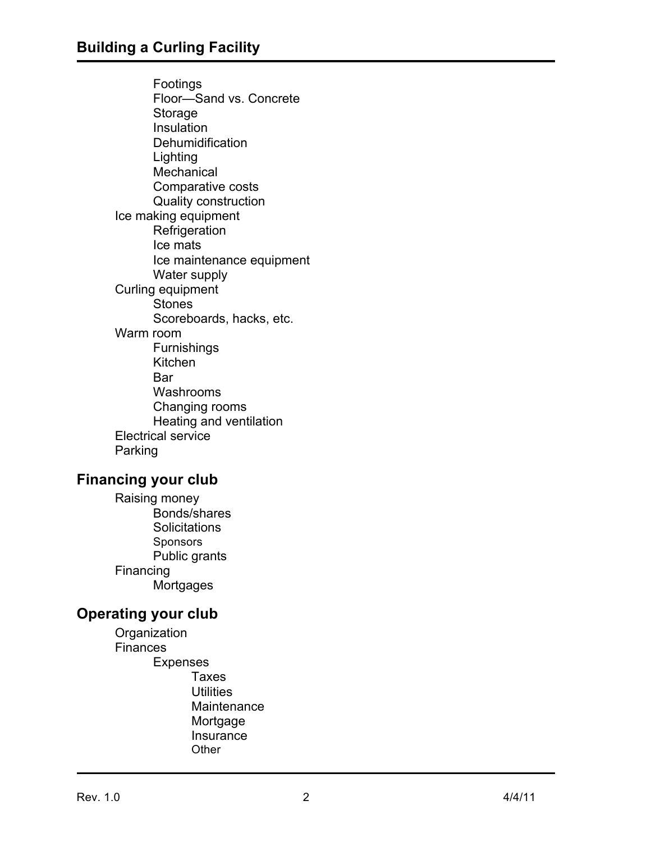Footings Floor—Sand vs. Concrete Storage Insulation **Dehumidification** Lighting **Mechanical** Comparative costs Quality construction Ice making equipment **Refrigeration** Ice mats Ice maintenance equipment Water supply Curling equipment Stones Scoreboards, hacks, etc. Warm room Furnishings Kitchen **Bar** Washrooms Changing rooms Heating and ventilation Electrical service Parking

### **Financing your club**

Raising money Bonds/shares **Solicitations Sponsors** Public grants Financing **Mortgages** 

### **Operating your club**

**Organization Finances** Expenses Taxes **Utilities Maintenance** Mortgage **Insurance Other**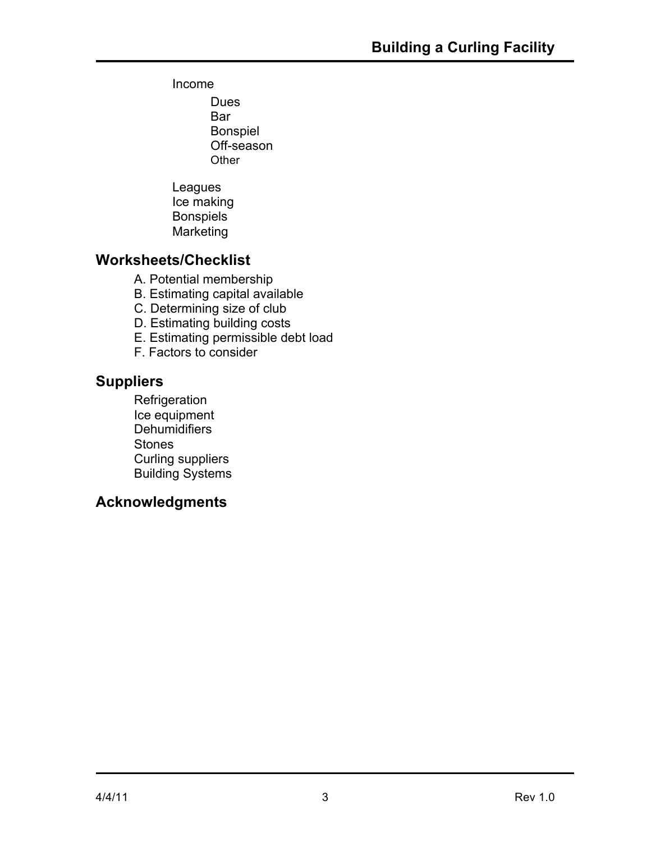### Income

Dues Bar Bonspiel Off-season **Other** 

Leagues Ice making Bonspiels Marketing

## **Worksheets/Checklist**

- A. Potential membership
- B. Estimating capital available
- C. Determining size of club
- D. Estimating building costs
- E. Estimating permissible debt load
- F. Factors to consider

## **Suppliers**

**Refrigeration** Ice equipment Dehumidifiers Stones Curling suppliers Building Systems

## **Acknowledgments**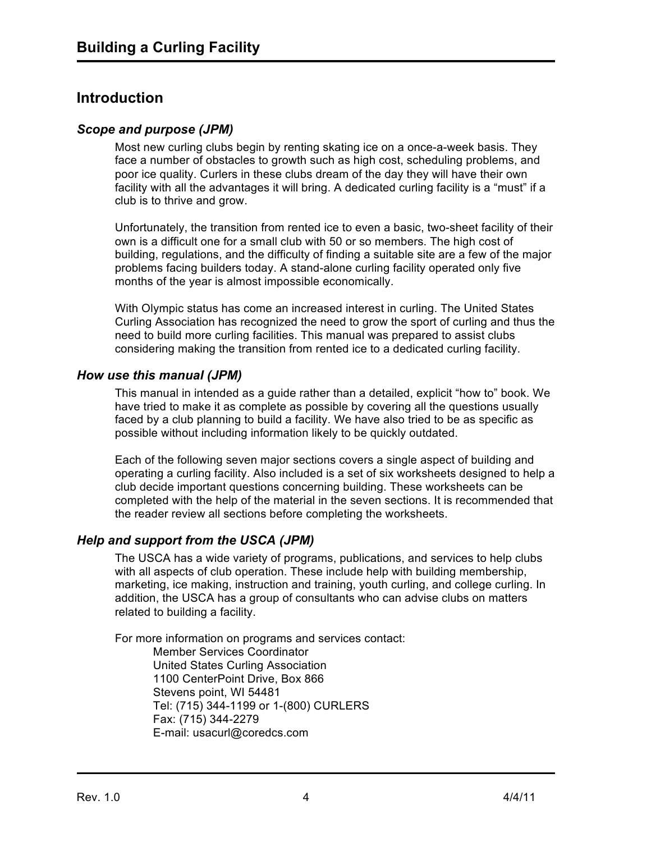## **Introduction**

#### *Scope and purpose (JPM)*

Most new curling clubs begin by renting skating ice on a once-a-week basis. They face a number of obstacles to growth such as high cost, scheduling problems, and poor ice quality. Curlers in these clubs dream of the day they will have their own facility with all the advantages it will bring. A dedicated curling facility is a "must" if a club is to thrive and grow.

Unfortunately, the transition from rented ice to even a basic, two-sheet facility of their own is a difficult one for a small club with 50 or so members. The high cost of building, regulations, and the difficulty of finding a suitable site are a few of the major problems facing builders today. A stand-alone curling facility operated only five months of the year is almost impossible economically.

With Olympic status has come an increased interest in curling. The United States Curling Association has recognized the need to grow the sport of curling and thus the need to build more curling facilities. This manual was prepared to assist clubs considering making the transition from rented ice to a dedicated curling facility.

#### *How use this manual (JPM)*

This manual in intended as a guide rather than a detailed, explicit "how to" book. We have tried to make it as complete as possible by covering all the questions usually faced by a club planning to build a facility. We have also tried to be as specific as possible without including information likely to be quickly outdated.

Each of the following seven major sections covers a single aspect of building and operating a curling facility. Also included is a set of six worksheets designed to help a club decide important questions concerning building. These worksheets can be completed with the help of the material in the seven sections. It is recommended that the reader review all sections before completing the worksheets.

#### *Help and support from the USCA (JPM)*

The USCA has a wide variety of programs, publications, and services to help clubs with all aspects of club operation. These include help with building membership, marketing, ice making, instruction and training, youth curling, and college curling. In addition, the USCA has a group of consultants who can advise clubs on matters related to building a facility.

For more information on programs and services contact: Member Services Coordinator United States Curling Association 1100 CenterPoint Drive, Box 866 Stevens point, WI 54481 Tel: (715) 344-1199 or 1-(800) CURLERS Fax: (715) 344-2279 E-mail: usacurl@coredcs.com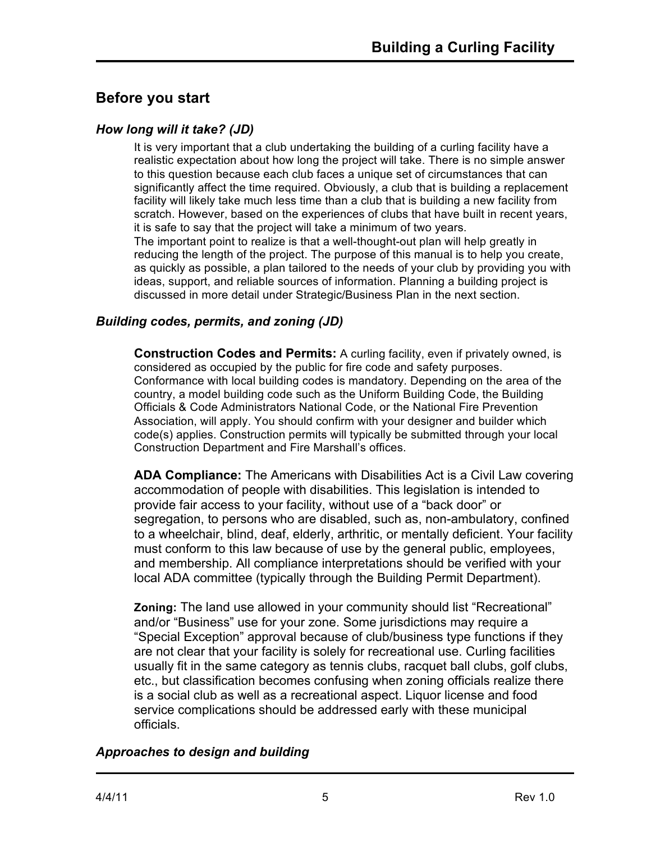# **Before you start**

### *How long will it take? (JD)*

It is very important that a club undertaking the building of a curling facility have a realistic expectation about how long the project will take. There is no simple answer to this question because each club faces a unique set of circumstances that can significantly affect the time required. Obviously, a club that is building a replacement facility will likely take much less time than a club that is building a new facility from scratch. However, based on the experiences of clubs that have built in recent years, it is safe to say that the project will take a minimum of two years. The important point to realize is that a well-thought-out plan will help greatly in reducing the length of the project. The purpose of this manual is to help you create, as quickly as possible, a plan tailored to the needs of your club by providing you with ideas, support, and reliable sources of information. Planning a building project is discussed in more detail under Strategic/Business Plan in the next section.

## *Building codes, permits, and zoning (JD)*

**Construction Codes and Permits:** A curling facility, even if privately owned, is considered as occupied by the public for fire code and safety purposes. Conformance with local building codes is mandatory. Depending on the area of the country, a model building code such as the Uniform Building Code, the Building Officials & Code Administrators National Code, or the National Fire Prevention Association, will apply. You should confirm with your designer and builder which code(s) applies. Construction permits will typically be submitted through your local Construction Department and Fire Marshall's offices.

**ADA Compliance:** The Americans with Disabilities Act is a Civil Law covering accommodation of people with disabilities. This legislation is intended to provide fair access to your facility, without use of a "back door" or segregation, to persons who are disabled, such as, non-ambulatory, confined to a wheelchair, blind, deaf, elderly, arthritic, or mentally deficient. Your facility must conform to this law because of use by the general public, employees, and membership. All compliance interpretations should be verified with your local ADA committee (typically through the Building Permit Department).

**Zoning:** The land use allowed in your community should list "Recreational" and/or "Business" use for your zone. Some jurisdictions may require a "Special Exception" approval because of club/business type functions if they are not clear that your facility is solely for recreational use. Curling facilities usually fit in the same category as tennis clubs, racquet ball clubs, golf clubs, etc., but classification becomes confusing when zoning officials realize there is a social club as well as a recreational aspect. Liquor license and food service complications should be addressed early with these municipal officials.

## *Approaches to design and building*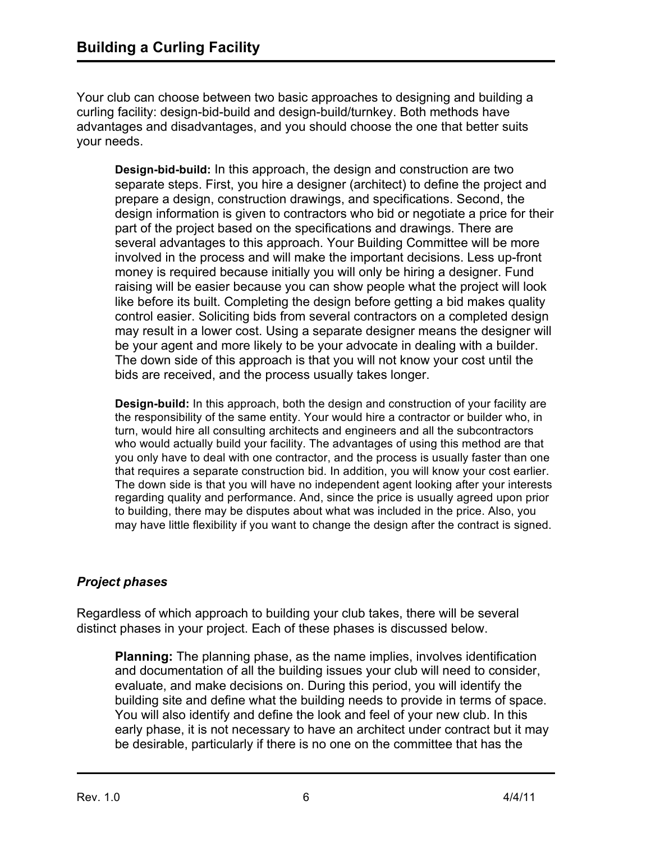Your club can choose between two basic approaches to designing and building a curling facility: design-bid-build and design-build/turnkey. Both methods have advantages and disadvantages, and you should choose the one that better suits your needs.

**Design-bid-build:** In this approach, the design and construction are two separate steps. First, you hire a designer (architect) to define the project and prepare a design, construction drawings, and specifications. Second, the design information is given to contractors who bid or negotiate a price for their part of the project based on the specifications and drawings. There are several advantages to this approach. Your Building Committee will be more involved in the process and will make the important decisions. Less up-front money is required because initially you will only be hiring a designer. Fund raising will be easier because you can show people what the project will look like before its built. Completing the design before getting a bid makes quality control easier. Soliciting bids from several contractors on a completed design may result in a lower cost. Using a separate designer means the designer will be your agent and more likely to be your advocate in dealing with a builder. The down side of this approach is that you will not know your cost until the bids are received, and the process usually takes longer.

**Design-build:** In this approach, both the design and construction of your facility are the responsibility of the same entity. Your would hire a contractor or builder who, in turn, would hire all consulting architects and engineers and all the subcontractors who would actually build your facility. The advantages of using this method are that you only have to deal with one contractor, and the process is usually faster than one that requires a separate construction bid. In addition, you will know your cost earlier. The down side is that you will have no independent agent looking after your interests regarding quality and performance. And, since the price is usually agreed upon prior to building, there may be disputes about what was included in the price. Also, you may have little flexibility if you want to change the design after the contract is signed.

## *Project phases*

Regardless of which approach to building your club takes, there will be several distinct phases in your project. Each of these phases is discussed below.

**Planning:** The planning phase, as the name implies, involves identification and documentation of all the building issues your club will need to consider, evaluate, and make decisions on. During this period, you will identify the building site and define what the building needs to provide in terms of space. You will also identify and define the look and feel of your new club. In this early phase, it is not necessary to have an architect under contract but it may be desirable, particularly if there is no one on the committee that has the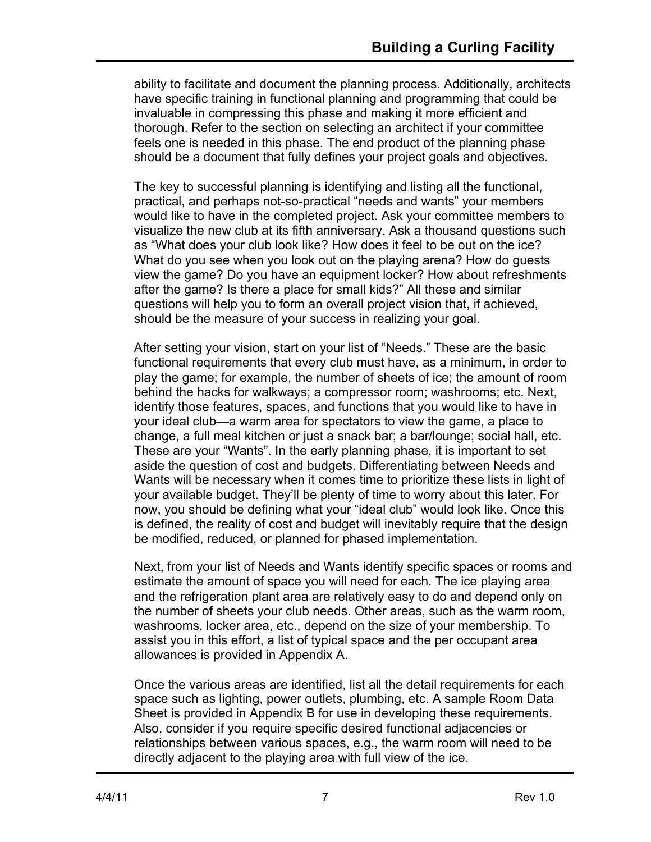ability to facilitate and document the planning process. Additionally, architects have specific training in functional planning and programming that could be invaluable in compressing this phase and making it more efficient and thorough. Refer to the section on selecting an architect if your committee feels one is needed in this phase. The end product of the planning phase should be a document that fully defines your project goals and objectives.

The key to successful planning is identifying and listing all the functional, practical, and perhaps not-so-practical "needs and wants" your members would like to have in the completed project. Ask your committee members to visualize the new club at its fifth anniversary. Ask a thousand questions such as "What does your club look like? How does it feel to be out on the ice? What do you see when you look out on the playing arena? How do guests view the game? Do you have an equipment locker? How about refreshments after the game? Is there a place for small kids?" All these and similar questions will help you to form an overall project vision that, if achieved, should be the measure of your success in realizing your goal.

After setting your vision, start on your list of "Needs." These are the basic functional requirements that every club must have, as a minimum, in order to play the game; for example, the number of sheets of ice; the amount of room behind the hacks for walkways; a compressor room; washrooms; etc. Next, identify those features, spaces, and functions that you would like to have in your ideal club—a warm area for spectators to view the game, a place to change, a full meal kitchen or just a snack bar; a bar/lounge; social hall, etc. These are your "Wants". In the early planning phase, it is important to set aside the question of cost and budgets. Differentiating between Needs and Wants will be necessary when it comes time to prioritize these lists in light of your available budget. They'll be plenty of time to worry about this later. For now, you should be defining what your "ideal club" would look like. Once this is defined, the reality of cost and budget will inevitably require that the design be modified, reduced, or planned for phased implementation.

Next, from your list of Needs and Wants identify specific spaces or rooms and estimate the amount of space you will need for each. The ice playing area and the refrigeration plant area are relatively easy to do and depend only on the number of sheets your club needs. Other areas, such as the warm room, washrooms, locker area, etc., depend on the size of your membership. To assist you in this effort, a list of typical space and the per occupant area allowances is provided in Appendix A.

Once the various areas are identified, list all the detail requirements for each space such as lighting, power outlets, plumbing, etc. A sample Room Data Sheet is provided in Appendix B for use in developing these requirements. Also, consider if you require specific desired functional adjacencies or relationships between various spaces, e.g., the warm room will need to be directly adjacent to the playing area with full view of the ice.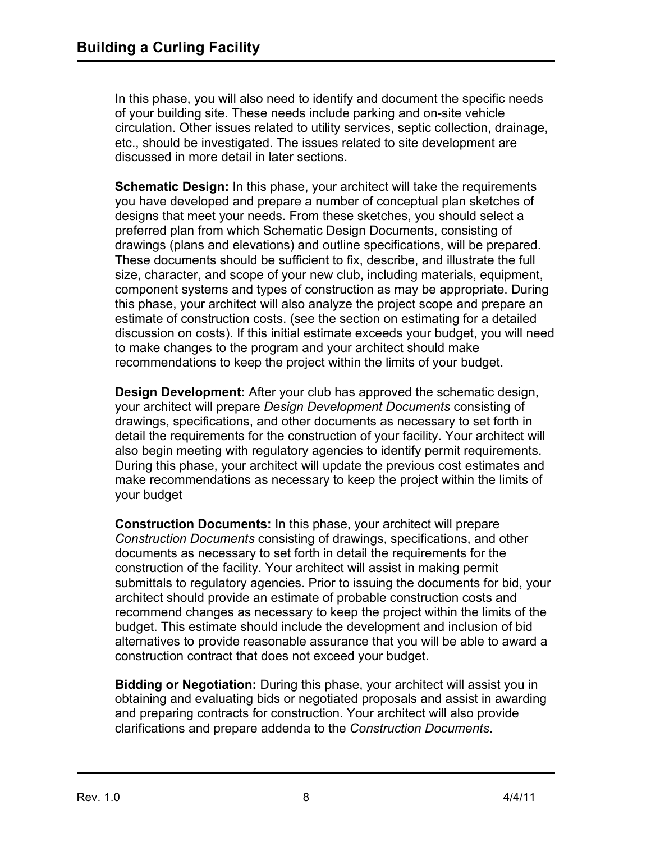In this phase, you will also need to identify and document the specific needs of your building site. These needs include parking and on-site vehicle circulation. Other issues related to utility services, septic collection, drainage, etc., should be investigated. The issues related to site development are discussed in more detail in later sections.

**Schematic Design:** In this phase, your architect will take the requirements you have developed and prepare a number of conceptual plan sketches of designs that meet your needs. From these sketches, you should select a preferred plan from which Schematic Design Documents, consisting of drawings (plans and elevations) and outline specifications, will be prepared. These documents should be sufficient to fix, describe, and illustrate the full size, character, and scope of your new club, including materials, equipment, component systems and types of construction as may be appropriate. During this phase, your architect will also analyze the project scope and prepare an estimate of construction costs. (see the section on estimating for a detailed discussion on costs). If this initial estimate exceeds your budget, you will need to make changes to the program and your architect should make recommendations to keep the project within the limits of your budget.

**Design Development:** After your club has approved the schematic design, your architect will prepare *Design Development Documents* consisting of drawings, specifications, and other documents as necessary to set forth in detail the requirements for the construction of your facility. Your architect will also begin meeting with regulatory agencies to identify permit requirements. During this phase, your architect will update the previous cost estimates and make recommendations as necessary to keep the project within the limits of your budget

**Construction Documents:** In this phase, your architect will prepare *Construction Documents* consisting of drawings, specifications, and other documents as necessary to set forth in detail the requirements for the construction of the facility. Your architect will assist in making permit submittals to regulatory agencies. Prior to issuing the documents for bid, your architect should provide an estimate of probable construction costs and recommend changes as necessary to keep the project within the limits of the budget. This estimate should include the development and inclusion of bid alternatives to provide reasonable assurance that you will be able to award a construction contract that does not exceed your budget.

**Bidding or Negotiation:** During this phase, your architect will assist you in obtaining and evaluating bids or negotiated proposals and assist in awarding and preparing contracts for construction. Your architect will also provide clarifications and prepare addenda to the *Construction Documents*.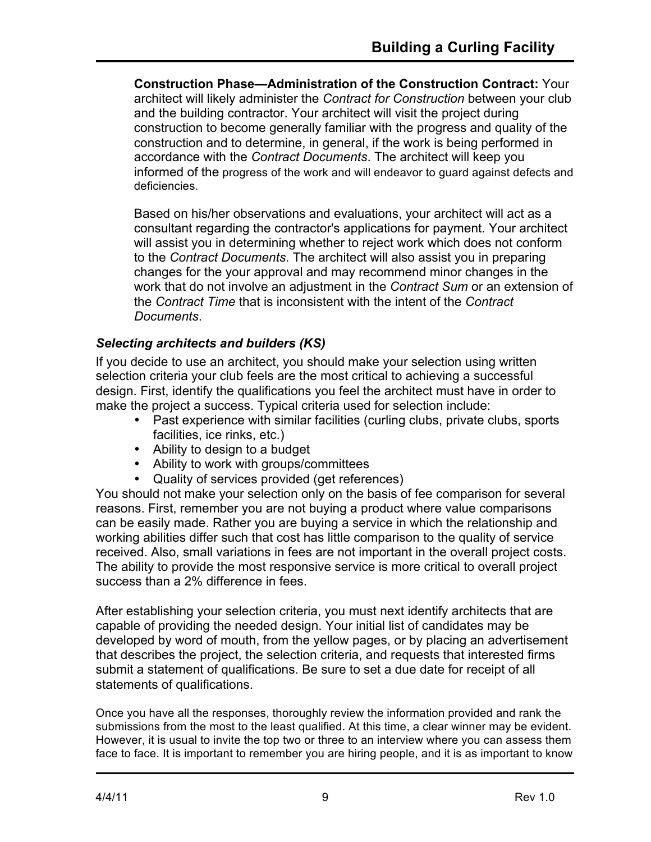**Construction Phase—Administration of the Construction Contract:** Your architect will likely administer the *Contract for Construction* between your club and the building contractor. Your architect will visit the project during construction to become generally familiar with the progress and quality of the construction and to determine, in general, if the work is being performed in accordance with the *Contract Documents*. The architect will keep you informed of the progress of the work and will endeavor to guard against defects and deficiencies.

Based on his/her observations and evaluations, your architect will act as a consultant regarding the contractor's applications for payment. Your architect will assist you in determining whether to reject work which does not conform to the *Contract Documents*. The architect will also assist you in preparing changes for the your approval and may recommend minor changes in the work that do not involve an adjustment in the *Contract Sum* or an extension of the *Contract Time* that is inconsistent with the intent of the *Contract Documents*.

### *Selecting architects and builders (KS)*

If you decide to use an architect, you should make your selection using written selection criteria your club feels are the most critical to achieving a successful design. First, identify the qualifications you feel the architect must have in order to make the project a success. Typical criteria used for selection include:

- Past experience with similar facilities (curling clubs, private clubs, sports facilities, ice rinks, etc.)
- Ability to design to a budget
- Ability to work with groups/committees
- Quality of services provided (get references)

You should not make your selection only on the basis of fee comparison for several reasons. First, remember you are not buying a product where value comparisons can be easily made. Rather you are buying a service in which the relationship and working abilities differ such that cost has little comparison to the quality of service received. Also, small variations in fees are not important in the overall project costs. The ability to provide the most responsive service is more critical to overall project success than a 2% difference in fees.

After establishing your selection criteria, you must next identify architects that are capable of providing the needed design. Your initial list of candidates may be developed by word of mouth, from the yellow pages, or by placing an advertisement that describes the project, the selection criteria, and requests that interested firms submit a statement of qualifications. Be sure to set a due date for receipt of all statements of qualifications.

Once you have all the responses, thoroughly review the information provided and rank the submissions from the most to the least qualified. At this time, a clear winner may be evident. However, it is usual to invite the top two or three to an interview where you can assess them face to face. It is important to remember you are hiring people, and it is as important to know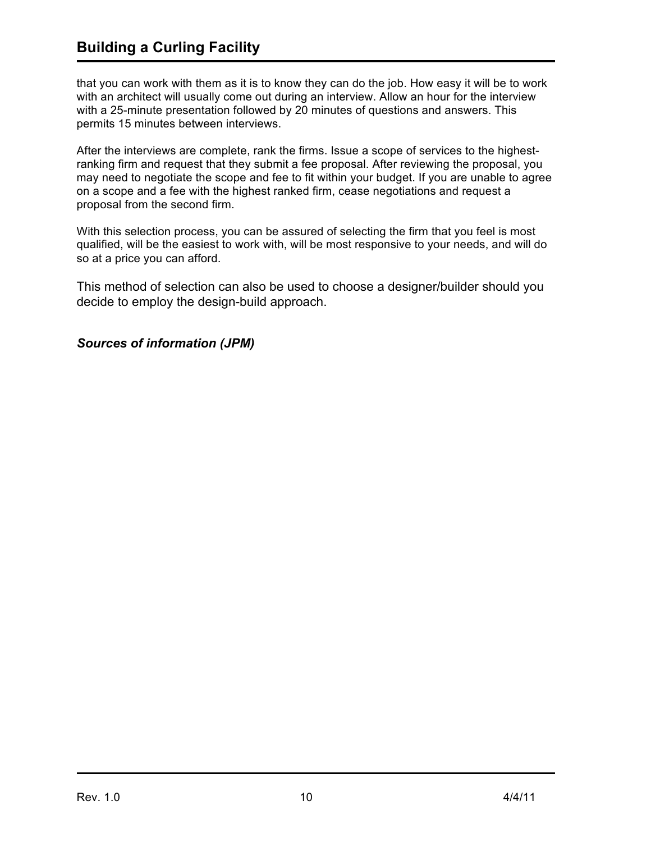# **Building a Curling Facility**

that you can work with them as it is to know they can do the job. How easy it will be to work with an architect will usually come out during an interview. Allow an hour for the interview with a 25-minute presentation followed by 20 minutes of questions and answers. This permits 15 minutes between interviews.

After the interviews are complete, rank the firms. Issue a scope of services to the highestranking firm and request that they submit a fee proposal. After reviewing the proposal, you may need to negotiate the scope and fee to fit within your budget. If you are unable to agree on a scope and a fee with the highest ranked firm, cease negotiations and request a proposal from the second firm.

With this selection process, you can be assured of selecting the firm that you feel is most qualified, will be the easiest to work with, will be most responsive to your needs, and will do so at a price you can afford.

This method of selection can also be used to choose a designer/builder should you decide to employ the design-build approach.

#### *Sources of information (JPM)*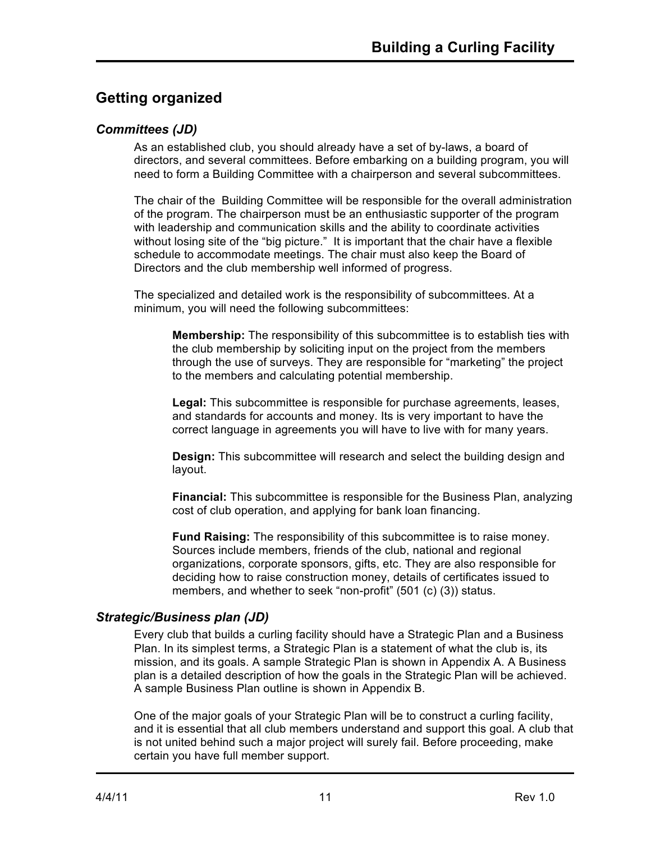# **Getting organized**

### *Committees (JD)*

As an established club, you should already have a set of by-laws, a board of directors, and several committees. Before embarking on a building program, you will need to form a Building Committee with a chairperson and several subcommittees.

The chair of the Building Committee will be responsible for the overall administration of the program. The chairperson must be an enthusiastic supporter of the program with leadership and communication skills and the ability to coordinate activities without losing site of the "big picture." It is important that the chair have a flexible schedule to accommodate meetings. The chair must also keep the Board of Directors and the club membership well informed of progress.

The specialized and detailed work is the responsibility of subcommittees. At a minimum, you will need the following subcommittees:

**Membership:** The responsibility of this subcommittee is to establish ties with the club membership by soliciting input on the project from the members through the use of surveys. They are responsible for "marketing" the project to the members and calculating potential membership.

**Legal:** This subcommittee is responsible for purchase agreements, leases, and standards for accounts and money. Its is very important to have the correct language in agreements you will have to live with for many years.

**Design:** This subcommittee will research and select the building design and layout.

**Financial:** This subcommittee is responsible for the Business Plan, analyzing cost of club operation, and applying for bank loan financing.

**Fund Raising:** The responsibility of this subcommittee is to raise money. Sources include members, friends of the club, national and regional organizations, corporate sponsors, gifts, etc. They are also responsible for deciding how to raise construction money, details of certificates issued to members, and whether to seek "non-profit" (501 (c) (3)) status.

### *Strategic/Business plan (JD)*

Every club that builds a curling facility should have a Strategic Plan and a Business Plan. In its simplest terms, a Strategic Plan is a statement of what the club is, its mission, and its goals. A sample Strategic Plan is shown in Appendix A. A Business plan is a detailed description of how the goals in the Strategic Plan will be achieved. A sample Business Plan outline is shown in Appendix B.

One of the major goals of your Strategic Plan will be to construct a curling facility, and it is essential that all club members understand and support this goal. A club that is not united behind such a major project will surely fail. Before proceeding, make certain you have full member support.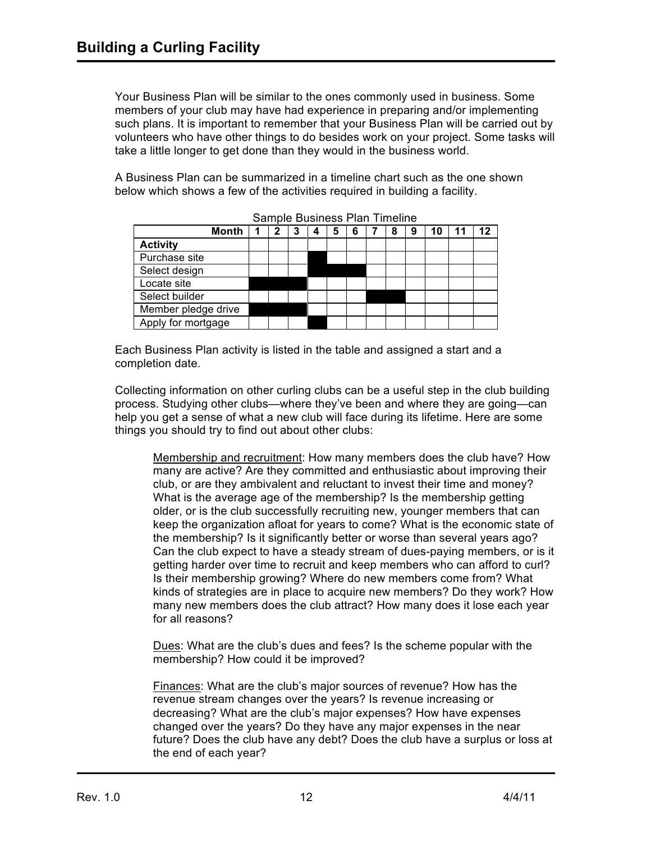Your Business Plan will be similar to the ones commonly used in business. Some members of your club may have had experience in preparing and/or implementing such plans. It is important to remember that your Business Plan will be carried out by volunteers who have other things to do besides work on your project. Some tasks will take a little longer to get done than they would in the business world.

A Business Plan can be summarized in a timeline chart such as the one shown below which shows a few of the activities required in building a facility.

|                     | <b>Month</b> |  | 2 | 3 |  | 5 | 6 | 8 | 10 | 11 | 12 |
|---------------------|--------------|--|---|---|--|---|---|---|----|----|----|
| <b>Activity</b>     |              |  |   |   |  |   |   |   |    |    |    |
| Purchase site       |              |  |   |   |  |   |   |   |    |    |    |
| Select design       |              |  |   |   |  |   |   |   |    |    |    |
| Locate site         |              |  |   |   |  |   |   |   |    |    |    |
| Select builder      |              |  |   |   |  |   |   |   |    |    |    |
| Member pledge drive |              |  |   |   |  |   |   |   |    |    |    |
| Apply for mortgage  |              |  |   |   |  |   |   |   |    |    |    |

Sample Business Plan Timeline

Each Business Plan activity is listed in the table and assigned a start and a completion date.

Collecting information on other curling clubs can be a useful step in the club building process. Studying other clubs—where they've been and where they are going—can help you get a sense of what a new club will face during its lifetime. Here are some things you should try to find out about other clubs:

Membership and recruitment: How many members does the club have? How many are active? Are they committed and enthusiastic about improving their club, or are they ambivalent and reluctant to invest their time and money? What is the average age of the membership? Is the membership getting older, or is the club successfully recruiting new, younger members that can keep the organization afloat for years to come? What is the economic state of the membership? Is it significantly better or worse than several years ago? Can the club expect to have a steady stream of dues-paying members, or is it getting harder over time to recruit and keep members who can afford to curl? Is their membership growing? Where do new members come from? What kinds of strategies are in place to acquire new members? Do they work? How many new members does the club attract? How many does it lose each year for all reasons?

Dues: What are the club's dues and fees? Is the scheme popular with the membership? How could it be improved?

Finances: What are the club's major sources of revenue? How has the revenue stream changes over the years? Is revenue increasing or decreasing? What are the club's major expenses? How have expenses changed over the years? Do they have any major expenses in the near future? Does the club have any debt? Does the club have a surplus or loss at the end of each year?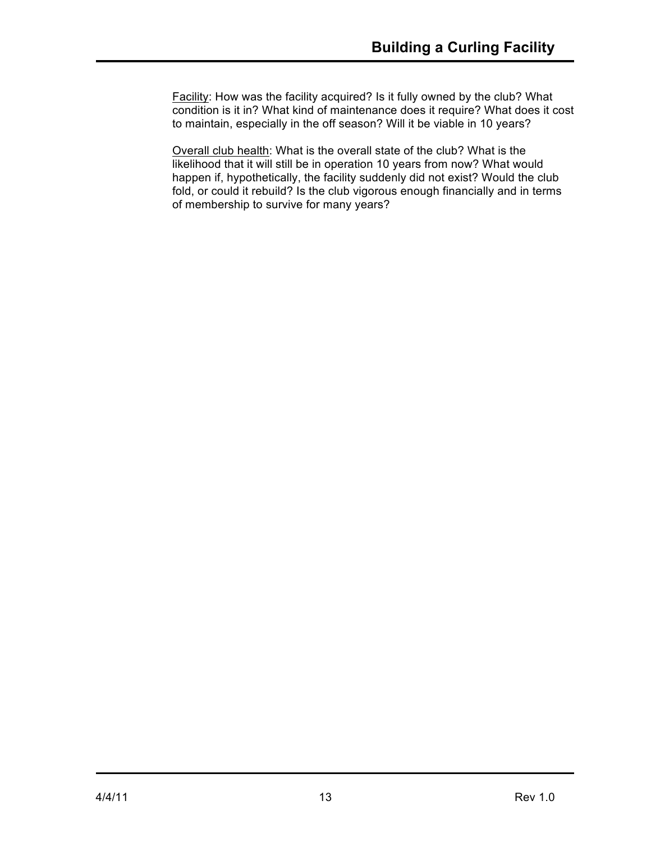Facility: How was the facility acquired? Is it fully owned by the club? What condition is it in? What kind of maintenance does it require? What does it cost to maintain, especially in the off season? Will it be viable in 10 years?

Overall club health: What is the overall state of the club? What is the likelihood that it will still be in operation 10 years from now? What would happen if, hypothetically, the facility suddenly did not exist? Would the club fold, or could it rebuild? Is the club vigorous enough financially and in terms of membership to survive for many years?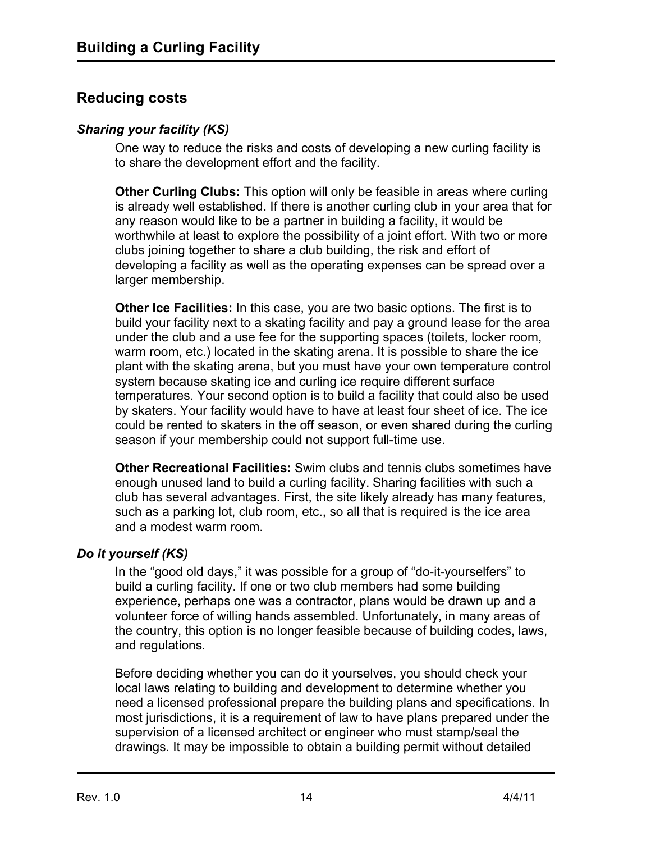## **Reducing costs**

### *Sharing your facility (KS)*

One way to reduce the risks and costs of developing a new curling facility is to share the development effort and the facility.

**Other Curling Clubs:** This option will only be feasible in areas where curling is already well established. If there is another curling club in your area that for any reason would like to be a partner in building a facility, it would be worthwhile at least to explore the possibility of a joint effort. With two or more clubs joining together to share a club building, the risk and effort of developing a facility as well as the operating expenses can be spread over a larger membership.

**Other Ice Facilities:** In this case, you are two basic options. The first is to build your facility next to a skating facility and pay a ground lease for the area under the club and a use fee for the supporting spaces (toilets, locker room, warm room, etc.) located in the skating arena. It is possible to share the ice plant with the skating arena, but you must have your own temperature control system because skating ice and curling ice require different surface temperatures. Your second option is to build a facility that could also be used by skaters. Your facility would have to have at least four sheet of ice. The ice could be rented to skaters in the off season, or even shared during the curling season if your membership could not support full-time use.

**Other Recreational Facilities:** Swim clubs and tennis clubs sometimes have enough unused land to build a curling facility. Sharing facilities with such a club has several advantages. First, the site likely already has many features, such as a parking lot, club room, etc., so all that is required is the ice area and a modest warm room.

### *Do it yourself (KS)*

In the "good old days," it was possible for a group of "do-it-yourselfers" to build a curling facility. If one or two club members had some building experience, perhaps one was a contractor, plans would be drawn up and a volunteer force of willing hands assembled. Unfortunately, in many areas of the country, this option is no longer feasible because of building codes, laws, and regulations.

Before deciding whether you can do it yourselves, you should check your local laws relating to building and development to determine whether you need a licensed professional prepare the building plans and specifications. In most jurisdictions, it is a requirement of law to have plans prepared under the supervision of a licensed architect or engineer who must stamp/seal the drawings. It may be impossible to obtain a building permit without detailed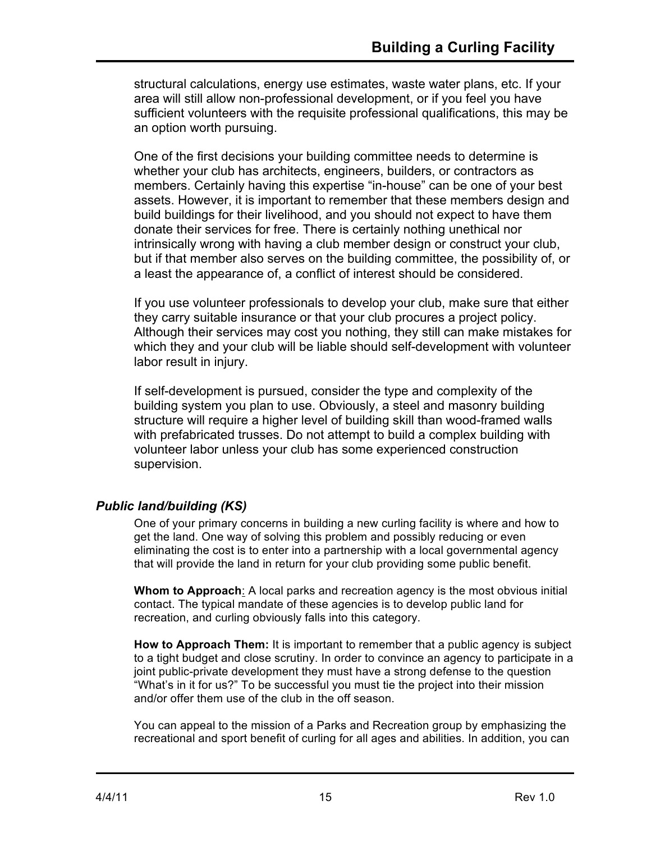structural calculations, energy use estimates, waste water plans, etc. If your area will still allow non-professional development, or if you feel you have sufficient volunteers with the requisite professional qualifications, this may be an option worth pursuing.

One of the first decisions your building committee needs to determine is whether your club has architects, engineers, builders, or contractors as members. Certainly having this expertise "in-house" can be one of your best assets. However, it is important to remember that these members design and build buildings for their livelihood, and you should not expect to have them donate their services for free. There is certainly nothing unethical nor intrinsically wrong with having a club member design or construct your club, but if that member also serves on the building committee, the possibility of, or a least the appearance of, a conflict of interest should be considered.

If you use volunteer professionals to develop your club, make sure that either they carry suitable insurance or that your club procures a project policy. Although their services may cost you nothing, they still can make mistakes for which they and your club will be liable should self-development with volunteer labor result in injury.

If self-development is pursued, consider the type and complexity of the building system you plan to use. Obviously, a steel and masonry building structure will require a higher level of building skill than wood-framed walls with prefabricated trusses. Do not attempt to build a complex building with volunteer labor unless your club has some experienced construction supervision.

## *Public land/building (KS)*

One of your primary concerns in building a new curling facility is where and how to get the land. One way of solving this problem and possibly reducing or even eliminating the cost is to enter into a partnership with a local governmental agency that will provide the land in return for your club providing some public benefit.

**Whom to Approach**: A local parks and recreation agency is the most obvious initial contact. The typical mandate of these agencies is to develop public land for recreation, and curling obviously falls into this category.

**How to Approach Them:** It is important to remember that a public agency is subject to a tight budget and close scrutiny. In order to convince an agency to participate in a joint public-private development they must have a strong defense to the question "What's in it for us?" To be successful you must tie the project into their mission and/or offer them use of the club in the off season.

You can appeal to the mission of a Parks and Recreation group by emphasizing the recreational and sport benefit of curling for all ages and abilities. In addition, you can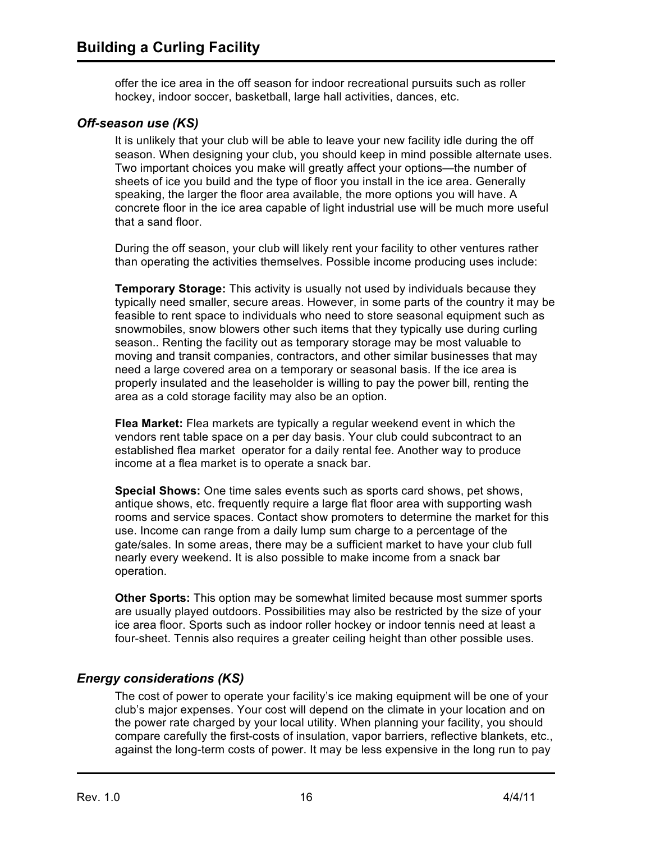offer the ice area in the off season for indoor recreational pursuits such as roller hockey, indoor soccer, basketball, large hall activities, dances, etc.

#### *Off-season use (KS)*

It is unlikely that your club will be able to leave your new facility idle during the off season. When designing your club, you should keep in mind possible alternate uses. Two important choices you make will greatly affect your options—the number of sheets of ice you build and the type of floor you install in the ice area. Generally speaking, the larger the floor area available, the more options you will have. A concrete floor in the ice area capable of light industrial use will be much more useful that a sand floor.

During the off season, your club will likely rent your facility to other ventures rather than operating the activities themselves. Possible income producing uses include:

**Temporary Storage:** This activity is usually not used by individuals because they typically need smaller, secure areas. However, in some parts of the country it may be feasible to rent space to individuals who need to store seasonal equipment such as snowmobiles, snow blowers other such items that they typically use during curling season.. Renting the facility out as temporary storage may be most valuable to moving and transit companies, contractors, and other similar businesses that may need a large covered area on a temporary or seasonal basis. If the ice area is properly insulated and the leaseholder is willing to pay the power bill, renting the area as a cold storage facility may also be an option.

**Flea Market:** Flea markets are typically a regular weekend event in which the vendors rent table space on a per day basis. Your club could subcontract to an established flea market operator for a daily rental fee. Another way to produce income at a flea market is to operate a snack bar.

**Special Shows:** One time sales events such as sports card shows, pet shows, antique shows, etc. frequently require a large flat floor area with supporting wash rooms and service spaces. Contact show promoters to determine the market for this use. Income can range from a daily lump sum charge to a percentage of the gate/sales. In some areas, there may be a sufficient market to have your club full nearly every weekend. It is also possible to make income from a snack bar operation.

**Other Sports:** This option may be somewhat limited because most summer sports are usually played outdoors. Possibilities may also be restricted by the size of your ice area floor. Sports such as indoor roller hockey or indoor tennis need at least a four-sheet. Tennis also requires a greater ceiling height than other possible uses.

### *Energy considerations (KS)*

The cost of power to operate your facility's ice making equipment will be one of your club's major expenses. Your cost will depend on the climate in your location and on the power rate charged by your local utility. When planning your facility, you should compare carefully the first-costs of insulation, vapor barriers, reflective blankets, etc., against the long-term costs of power. It may be less expensive in the long run to pay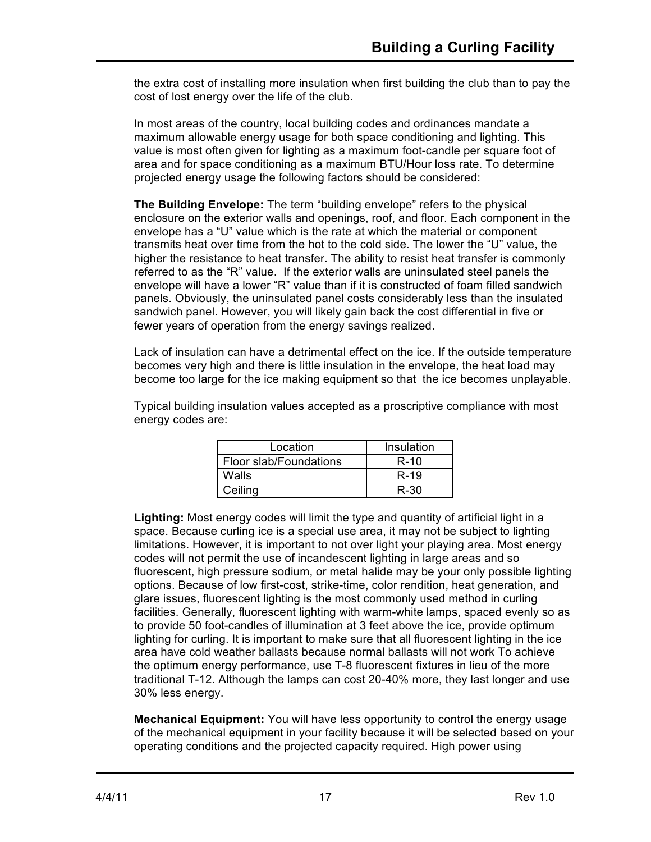the extra cost of installing more insulation when first building the club than to pay the cost of lost energy over the life of the club.

In most areas of the country, local building codes and ordinances mandate a maximum allowable energy usage for both space conditioning and lighting. This value is most often given for lighting as a maximum foot-candle per square foot of area and for space conditioning as a maximum BTU/Hour loss rate. To determine projected energy usage the following factors should be considered:

**The Building Envelope:** The term "building envelope" refers to the physical enclosure on the exterior walls and openings, roof, and floor. Each component in the envelope has a "U" value which is the rate at which the material or component transmits heat over time from the hot to the cold side. The lower the "U" value, the higher the resistance to heat transfer. The ability to resist heat transfer is commonly referred to as the "R" value. If the exterior walls are uninsulated steel panels the envelope will have a lower "R" value than if it is constructed of foam filled sandwich panels. Obviously, the uninsulated panel costs considerably less than the insulated sandwich panel. However, you will likely gain back the cost differential in five or fewer years of operation from the energy savings realized.

Lack of insulation can have a detrimental effect on the ice. If the outside temperature becomes very high and there is little insulation in the envelope, the heat load may become too large for the ice making equipment so that the ice becomes unplayable.

Typical building insulation values accepted as a proscriptive compliance with most energy codes are:

| Location               | Insulation |
|------------------------|------------|
| Floor slab/Foundations | $R-10$     |
| Walls                  | $R-19$     |
| Ceiling                | R-30       |

**Lighting:** Most energy codes will limit the type and quantity of artificial light in a space. Because curling ice is a special use area, it may not be subject to lighting limitations. However, it is important to not over light your playing area. Most energy codes will not permit the use of incandescent lighting in large areas and so fluorescent, high pressure sodium, or metal halide may be your only possible lighting options. Because of low first-cost, strike-time, color rendition, heat generation, and glare issues, fluorescent lighting is the most commonly used method in curling facilities. Generally, fluorescent lighting with warm-white lamps, spaced evenly so as to provide 50 foot-candles of illumination at 3 feet above the ice, provide optimum lighting for curling. It is important to make sure that all fluorescent lighting in the ice area have cold weather ballasts because normal ballasts will not work To achieve the optimum energy performance, use T-8 fluorescent fixtures in lieu of the more traditional T-12. Although the lamps can cost 20-40% more, they last longer and use 30% less energy.

**Mechanical Equipment:** You will have less opportunity to control the energy usage of the mechanical equipment in your facility because it will be selected based on your operating conditions and the projected capacity required. High power using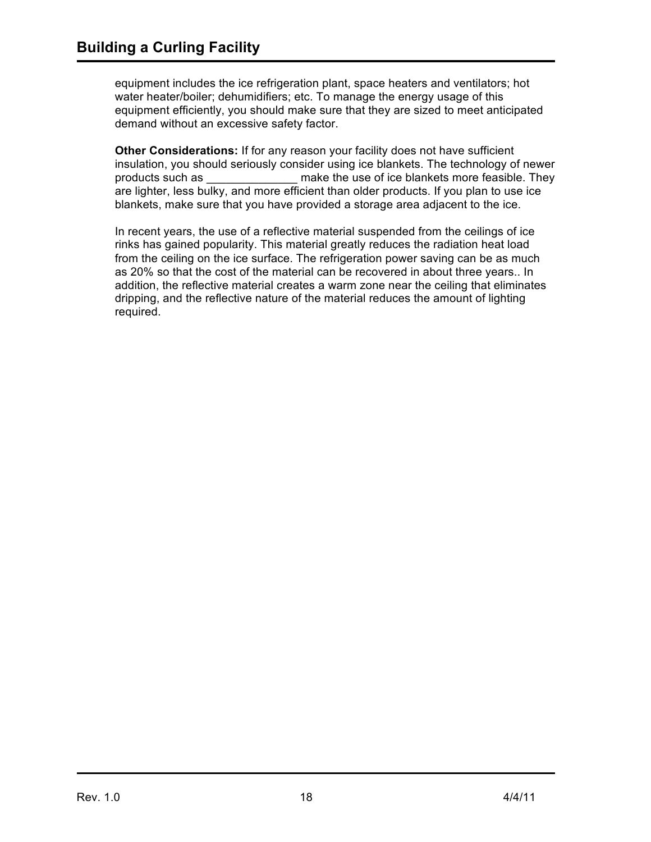equipment includes the ice refrigeration plant, space heaters and ventilators; hot water heater/boiler; dehumidifiers; etc. To manage the energy usage of this equipment efficiently, you should make sure that they are sized to meet anticipated demand without an excessive safety factor.

**Other Considerations:** If for any reason your facility does not have sufficient insulation, you should seriously consider using ice blankets. The technology of newer products such as \_\_\_\_\_\_\_\_\_\_\_\_\_\_ make the use of ice blankets more feasible. They are lighter, less bulky, and more efficient than older products. If you plan to use ice blankets, make sure that you have provided a storage area adjacent to the ice.

In recent years, the use of a reflective material suspended from the ceilings of ice rinks has gained popularity. This material greatly reduces the radiation heat load from the ceiling on the ice surface. The refrigeration power saving can be as much as 20% so that the cost of the material can be recovered in about three years.. In addition, the reflective material creates a warm zone near the ceiling that eliminates dripping, and the reflective nature of the material reduces the amount of lighting required.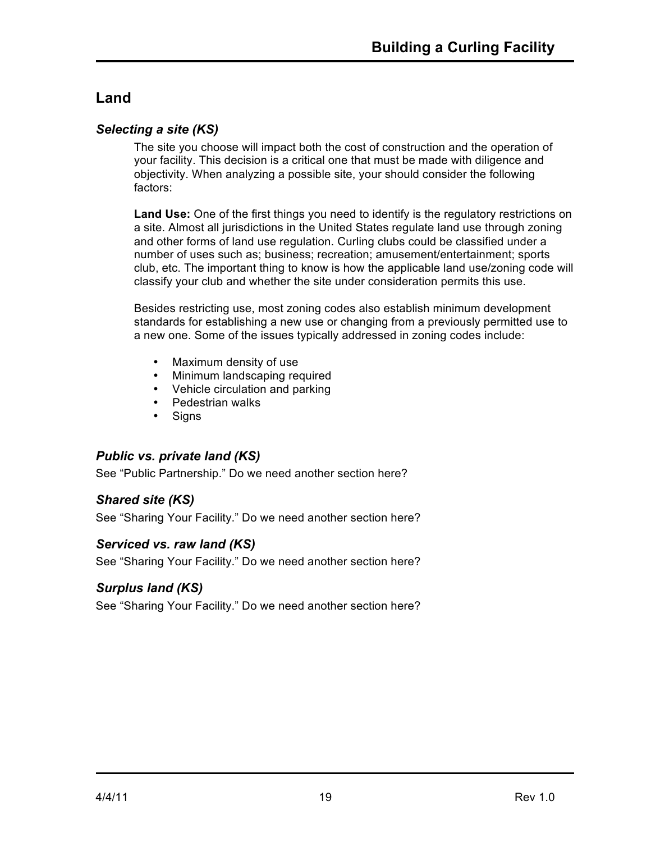# **Land**

### *Selecting a site (KS)*

The site you choose will impact both the cost of construction and the operation of your facility. This decision is a critical one that must be made with diligence and objectivity. When analyzing a possible site, your should consider the following factors:

**Land Use:** One of the first things you need to identify is the regulatory restrictions on a site. Almost all jurisdictions in the United States regulate land use through zoning and other forms of land use regulation. Curling clubs could be classified under a number of uses such as; business; recreation; amusement/entertainment; sports club, etc. The important thing to know is how the applicable land use/zoning code will classify your club and whether the site under consideration permits this use.

Besides restricting use, most zoning codes also establish minimum development standards for establishing a new use or changing from a previously permitted use to a new one. Some of the issues typically addressed in zoning codes include:

- Maximum density of use
- Minimum landscaping required
- Vehicle circulation and parking
- Pedestrian walks
- Signs

### *Public vs. private land (KS)*

See "Public Partnership." Do we need another section here?

### *Shared site (KS)*

See "Sharing Your Facility." Do we need another section here?

### *Serviced vs. raw land (KS)*

See "Sharing Your Facility." Do we need another section here?

### *Surplus land (KS)*

See "Sharing Your Facility." Do we need another section here?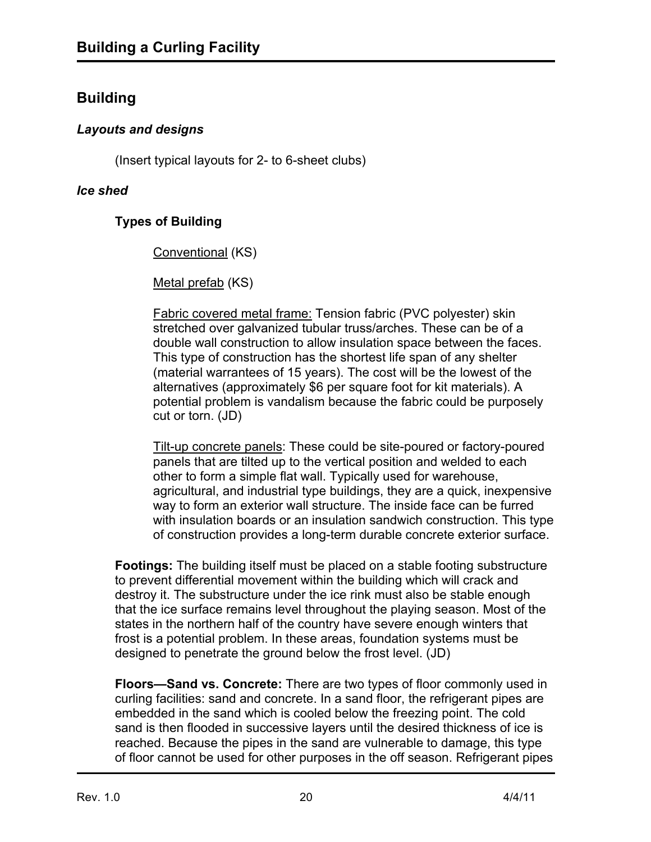## **Building**

## *Layouts and designs*

(Insert typical layouts for 2- to 6-sheet clubs)

### *Ice shed*

## **Types of Building**

Conventional (KS)

Metal prefab (KS)

Fabric covered metal frame: Tension fabric (PVC polyester) skin stretched over galvanized tubular truss/arches. These can be of a double wall construction to allow insulation space between the faces. This type of construction has the shortest life span of any shelter (material warrantees of 15 years). The cost will be the lowest of the alternatives (approximately \$6 per square foot for kit materials). A potential problem is vandalism because the fabric could be purposely cut or torn. (JD)

Tilt-up concrete panels: These could be site-poured or factory-poured panels that are tilted up to the vertical position and welded to each other to form a simple flat wall. Typically used for warehouse, agricultural, and industrial type buildings, they are a quick, inexpensive way to form an exterior wall structure. The inside face can be furred with insulation boards or an insulation sandwich construction. This type of construction provides a long-term durable concrete exterior surface.

**Footings:** The building itself must be placed on a stable footing substructure to prevent differential movement within the building which will crack and destroy it. The substructure under the ice rink must also be stable enough that the ice surface remains level throughout the playing season. Most of the states in the northern half of the country have severe enough winters that frost is a potential problem. In these areas, foundation systems must be designed to penetrate the ground below the frost level. (JD)

**Floors—Sand vs. Concrete:** There are two types of floor commonly used in curling facilities: sand and concrete. In a sand floor, the refrigerant pipes are embedded in the sand which is cooled below the freezing point. The cold sand is then flooded in successive layers until the desired thickness of ice is reached. Because the pipes in the sand are vulnerable to damage, this type of floor cannot be used for other purposes in the off season. Refrigerant pipes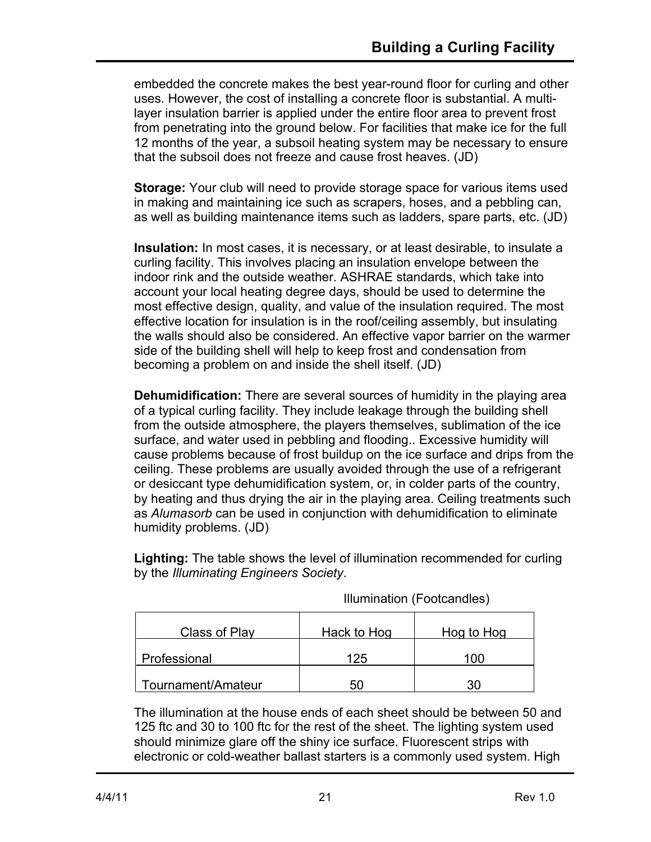embedded the concrete makes the best year-round floor for curling and other uses. However, the cost of installing a concrete floor is substantial. A multilayer insulation barrier is applied under the entire floor area to prevent frost from penetrating into the ground below. For facilities that make ice for the full 12 months of the year, a subsoil heating system may be necessary to ensure that the subsoil does not freeze and cause frost heaves. (JD)

**Storage:** Your club will need to provide storage space for various items used in making and maintaining ice such as scrapers, hoses, and a pebbling can, as well as building maintenance items such as ladders, spare parts, etc. (JD)

**Insulation:** In most cases, it is necessary, or at least desirable, to insulate a curling facility. This involves placing an insulation envelope between the indoor rink and the outside weather. ASHRAE standards, which take into account your local heating degree days, should be used to determine the most effective design, quality, and value of the insulation required. The most effective location for insulation is in the roof/ceiling assembly, but insulating the walls should also be considered. An effective vapor barrier on the warmer side of the building shell will help to keep frost and condensation from becoming a problem on and inside the shell itself. (JD)

**Dehumidification:** There are several sources of humidity in the playing area of a typical curling facility. They include leakage through the building shell from the outside atmosphere, the players themselves, sublimation of the ice surface, and water used in pebbling and flooding.. Excessive humidity will cause problems because of frost buildup on the ice surface and drips from the ceiling. These problems are usually avoided through the use of a refrigerant or desiccant type dehumidification system, or, in colder parts of the country, by heating and thus drying the air in the playing area. Ceiling treatments such as *Alumasorb* can be used in conjunction with dehumidification to eliminate humidity problems. (JD)

**Lighting:** The table shows the level of illumination recommended for curling by the *Illuminating Engineers Society*.

| Class of Play      | Hack to Hog | Hog to Hog |
|--------------------|-------------|------------|
| Professional       | 125         | 100        |
| Tournament/Amateur | 50          |            |

Illumination (Footcandles)

The illumination at the house ends of each sheet should be between 50 and 125 ftc and 30 to 100 ftc for the rest of the sheet. The lighting system used should minimize glare off the shiny ice surface. Fluorescent strips with electronic or cold-weather ballast starters is a commonly used system. High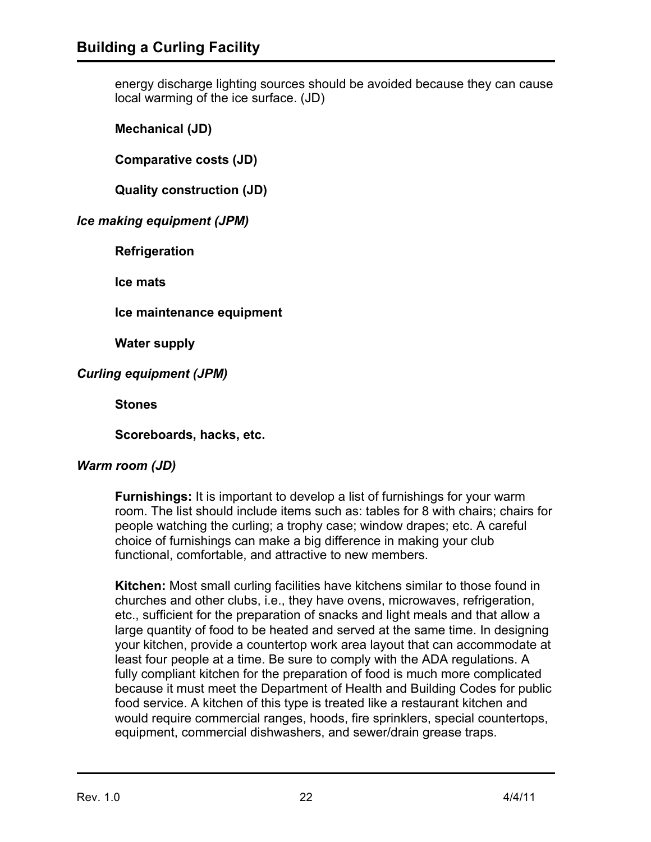energy discharge lighting sources should be avoided because they can cause local warming of the ice surface. (JD)

**Mechanical (JD)**

**Comparative costs (JD)**

**Quality construction (JD)**

### *Ice making equipment (JPM)*

**Refrigeration**

**Ice mats**

**Ice maintenance equipment**

**Water supply**

*Curling equipment (JPM)*

**Stones**

**Scoreboards, hacks, etc.**

### *Warm room (JD)*

**Furnishings:** It is important to develop a list of furnishings for your warm room. The list should include items such as: tables for 8 with chairs; chairs for people watching the curling; a trophy case; window drapes; etc. A careful choice of furnishings can make a big difference in making your club functional, comfortable, and attractive to new members.

**Kitchen:** Most small curling facilities have kitchens similar to those found in churches and other clubs, i.e., they have ovens, microwaves, refrigeration, etc., sufficient for the preparation of snacks and light meals and that allow a large quantity of food to be heated and served at the same time. In designing your kitchen, provide a countertop work area layout that can accommodate at least four people at a time. Be sure to comply with the ADA regulations. A fully compliant kitchen for the preparation of food is much more complicated because it must meet the Department of Health and Building Codes for public food service. A kitchen of this type is treated like a restaurant kitchen and would require commercial ranges, hoods, fire sprinklers, special countertops, equipment, commercial dishwashers, and sewer/drain grease traps.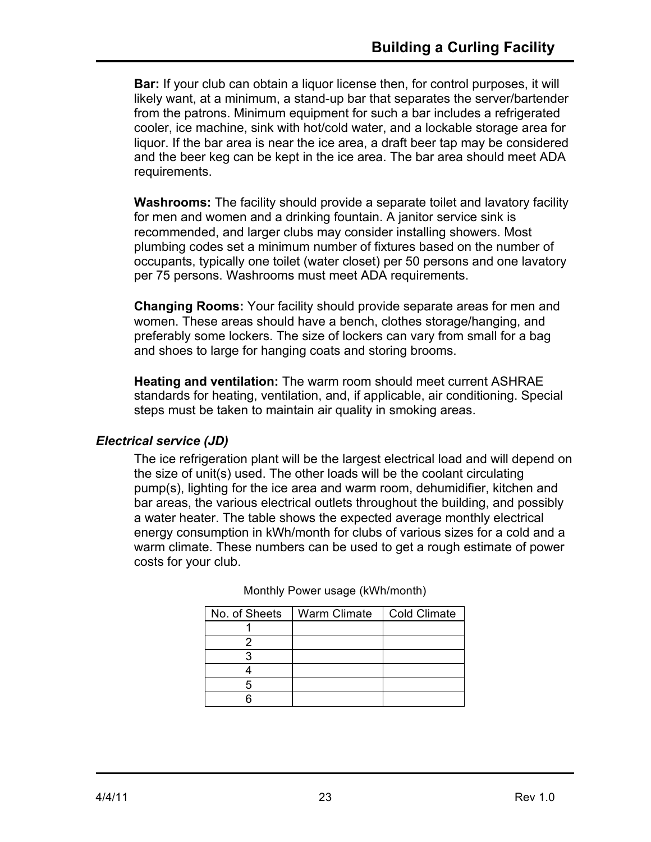**Bar:** If your club can obtain a liquor license then, for control purposes, it will likely want, at a minimum, a stand-up bar that separates the server/bartender from the patrons. Minimum equipment for such a bar includes a refrigerated cooler, ice machine, sink with hot/cold water, and a lockable storage area for liquor. If the bar area is near the ice area, a draft beer tap may be considered and the beer keg can be kept in the ice area. The bar area should meet ADA requirements.

**Washrooms:** The facility should provide a separate toilet and lavatory facility for men and women and a drinking fountain. A janitor service sink is recommended, and larger clubs may consider installing showers. Most plumbing codes set a minimum number of fixtures based on the number of occupants, typically one toilet (water closet) per 50 persons and one lavatory per 75 persons. Washrooms must meet ADA requirements.

**Changing Rooms:** Your facility should provide separate areas for men and women. These areas should have a bench, clothes storage/hanging, and preferably some lockers. The size of lockers can vary from small for a bag and shoes to large for hanging coats and storing brooms.

**Heating and ventilation:** The warm room should meet current ASHRAE standards for heating, ventilation, and, if applicable, air conditioning. Special steps must be taken to maintain air quality in smoking areas.

### *Electrical service (JD)*

The ice refrigeration plant will be the largest electrical load and will depend on the size of unit(s) used. The other loads will be the coolant circulating pump(s), lighting for the ice area and warm room, dehumidifier, kitchen and bar areas, the various electrical outlets throughout the building, and possibly a water heater. The table shows the expected average monthly electrical energy consumption in kWh/month for clubs of various sizes for a cold and a warm climate. These numbers can be used to get a rough estimate of power costs for your club.

| No. of Sheets | Warm Climate | <b>Cold Climate</b> |
|---------------|--------------|---------------------|
|               |              |                     |
|               |              |                     |
|               |              |                     |
|               |              |                     |
|               |              |                     |
|               |              |                     |

Monthly Power usage (kWh/month)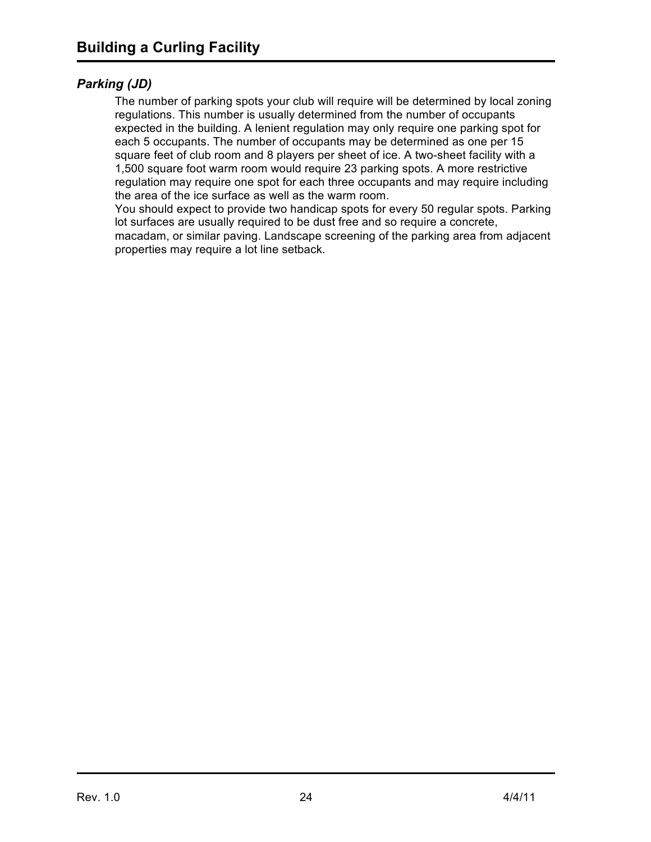### *Parking (JD)*

The number of parking spots your club will require will be determined by local zoning regulations. This number is usually determined from the number of occupants expected in the building. A lenient regulation may only require one parking spot for each 5 occupants. The number of occupants may be determined as one per 15 square feet of club room and 8 players per sheet of ice. A two-sheet facility with a 1,500 square foot warm room would require 23 parking spots. A more restrictive regulation may require one spot for each three occupants and may require including the area of the ice surface as well as the warm room.

You should expect to provide two handicap spots for every 50 regular spots. Parking lot surfaces are usually required to be dust free and so require a concrete, macadam, or similar paving. Landscape screening of the parking area from adjacent properties may require a lot line setback.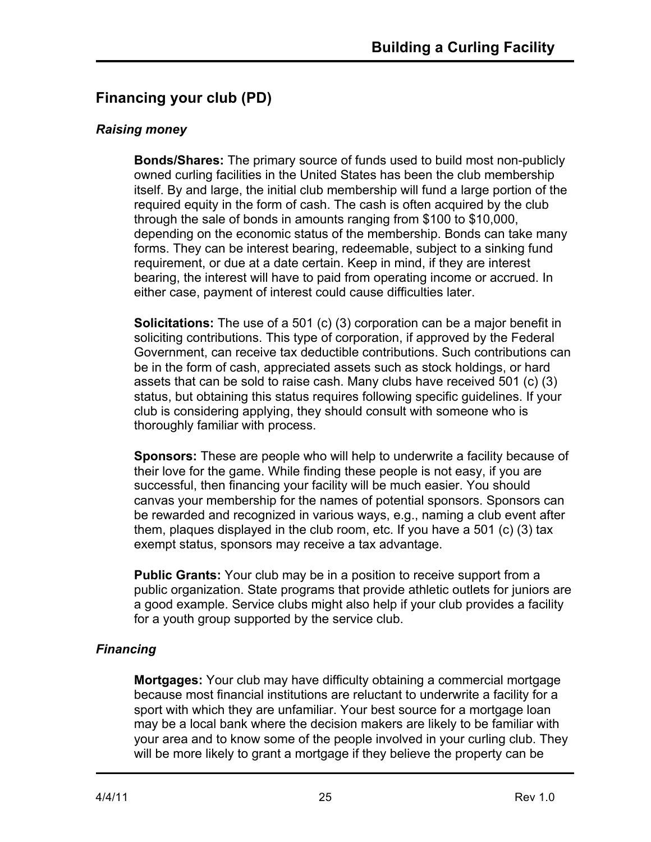# **Financing your club (PD)**

### *Raising money*

**Bonds/Shares:** The primary source of funds used to build most non-publicly owned curling facilities in the United States has been the club membership itself. By and large, the initial club membership will fund a large portion of the required equity in the form of cash. The cash is often acquired by the club through the sale of bonds in amounts ranging from \$100 to \$10,000, depending on the economic status of the membership. Bonds can take many forms. They can be interest bearing, redeemable, subject to a sinking fund requirement, or due at a date certain. Keep in mind, if they are interest bearing, the interest will have to paid from operating income or accrued. In either case, payment of interest could cause difficulties later.

**Solicitations:** The use of a 501 (c) (3) corporation can be a major benefit in soliciting contributions. This type of corporation, if approved by the Federal Government, can receive tax deductible contributions. Such contributions can be in the form of cash, appreciated assets such as stock holdings, or hard assets that can be sold to raise cash. Many clubs have received 501 (c) (3) status, but obtaining this status requires following specific guidelines. If your club is considering applying, they should consult with someone who is thoroughly familiar with process.

**Sponsors:** These are people who will help to underwrite a facility because of their love for the game. While finding these people is not easy, if you are successful, then financing your facility will be much easier. You should canvas your membership for the names of potential sponsors. Sponsors can be rewarded and recognized in various ways, e.g., naming a club event after them, plaques displayed in the club room, etc. If you have a 501 (c) (3) tax exempt status, sponsors may receive a tax advantage.

**Public Grants:** Your club may be in a position to receive support from a public organization. State programs that provide athletic outlets for juniors are a good example. Service clubs might also help if your club provides a facility for a youth group supported by the service club.

## *Financing*

**Mortgages:** Your club may have difficulty obtaining a commercial mortgage because most financial institutions are reluctant to underwrite a facility for a sport with which they are unfamiliar. Your best source for a mortgage loan may be a local bank where the decision makers are likely to be familiar with your area and to know some of the people involved in your curling club. They will be more likely to grant a mortgage if they believe the property can be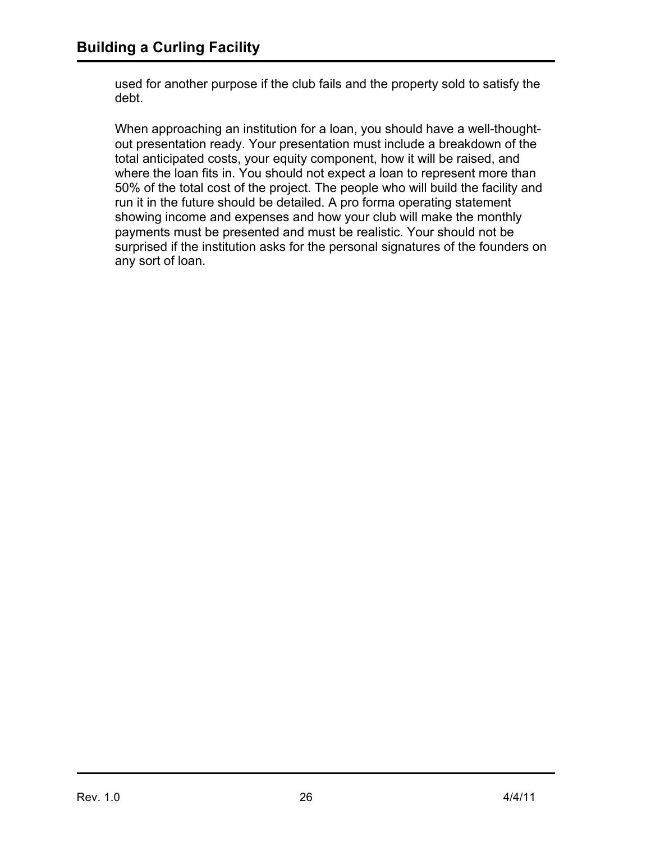used for another purpose if the club fails and the property sold to satisfy the debt.

When approaching an institution for a loan, you should have a well-thoughtout presentation ready. Your presentation must include a breakdown of the total anticipated costs, your equity component, how it will be raised, and where the loan fits in. You should not expect a loan to represent more than 50% of the total cost of the project. The people who will build the facility and run it in the future should be detailed. A pro forma operating statement showing income and expenses and how your club will make the monthly payments must be presented and must be realistic. Your should not be surprised if the institution asks for the personal signatures of the founders on any sort of loan.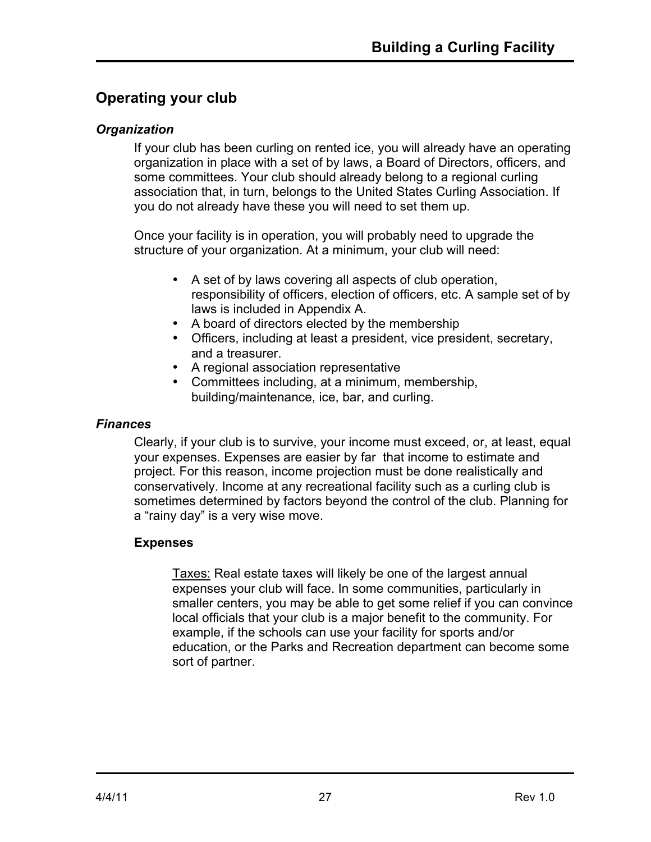# **Operating your club**

### *Organization*

If your club has been curling on rented ice, you will already have an operating organization in place with a set of by laws, a Board of Directors, officers, and some committees. Your club should already belong to a regional curling association that, in turn, belongs to the United States Curling Association. If you do not already have these you will need to set them up.

Once your facility is in operation, you will probably need to upgrade the structure of your organization. At a minimum, your club will need:

- A set of by laws covering all aspects of club operation, responsibility of officers, election of officers, etc. A sample set of by laws is included in Appendix A.
- A board of directors elected by the membership
- Officers, including at least a president, vice president, secretary, and a treasurer.
- A regional association representative
- Committees including, at a minimum, membership, building/maintenance, ice, bar, and curling.

### *Finances*

Clearly, if your club is to survive, your income must exceed, or, at least, equal your expenses. Expenses are easier by far that income to estimate and project. For this reason, income projection must be done realistically and conservatively. Income at any recreational facility such as a curling club is sometimes determined by factors beyond the control of the club. Planning for a "rainy day" is a very wise move.

## **Expenses**

Taxes: Real estate taxes will likely be one of the largest annual expenses your club will face. In some communities, particularly in smaller centers, you may be able to get some relief if you can convince local officials that your club is a major benefit to the community. For example, if the schools can use your facility for sports and/or education, or the Parks and Recreation department can become some sort of partner.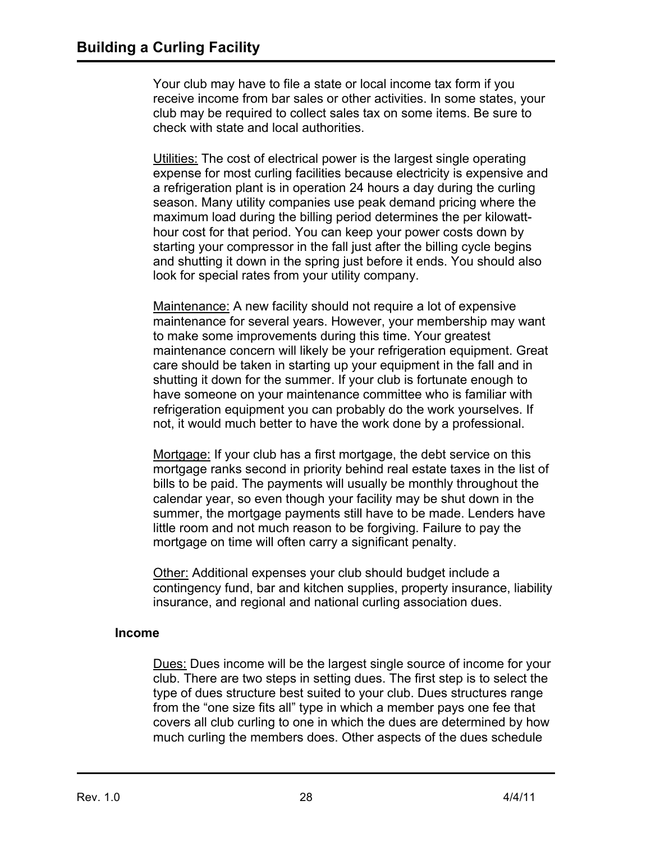Your club may have to file a state or local income tax form if you receive income from bar sales or other activities. In some states, your club may be required to collect sales tax on some items. Be sure to check with state and local authorities.

Utilities: The cost of electrical power is the largest single operating expense for most curling facilities because electricity is expensive and a refrigeration plant is in operation 24 hours a day during the curling season. Many utility companies use peak demand pricing where the maximum load during the billing period determines the per kilowatthour cost for that period. You can keep your power costs down by starting your compressor in the fall just after the billing cycle begins and shutting it down in the spring just before it ends. You should also look for special rates from your utility company.

Maintenance: A new facility should not require a lot of expensive maintenance for several years. However, your membership may want to make some improvements during this time. Your greatest maintenance concern will likely be your refrigeration equipment. Great care should be taken in starting up your equipment in the fall and in shutting it down for the summer. If your club is fortunate enough to have someone on your maintenance committee who is familiar with refrigeration equipment you can probably do the work yourselves. If not, it would much better to have the work done by a professional.

Mortgage: If your club has a first mortgage, the debt service on this mortgage ranks second in priority behind real estate taxes in the list of bills to be paid. The payments will usually be monthly throughout the calendar year, so even though your facility may be shut down in the summer, the mortgage payments still have to be made. Lenders have little room and not much reason to be forgiving. Failure to pay the mortgage on time will often carry a significant penalty.

Other: Additional expenses your club should budget include a contingency fund, bar and kitchen supplies, property insurance, liability insurance, and regional and national curling association dues.

#### **Income**

Dues: Dues income will be the largest single source of income for your club. There are two steps in setting dues. The first step is to select the type of dues structure best suited to your club. Dues structures range from the "one size fits all" type in which a member pays one fee that covers all club curling to one in which the dues are determined by how much curling the members does. Other aspects of the dues schedule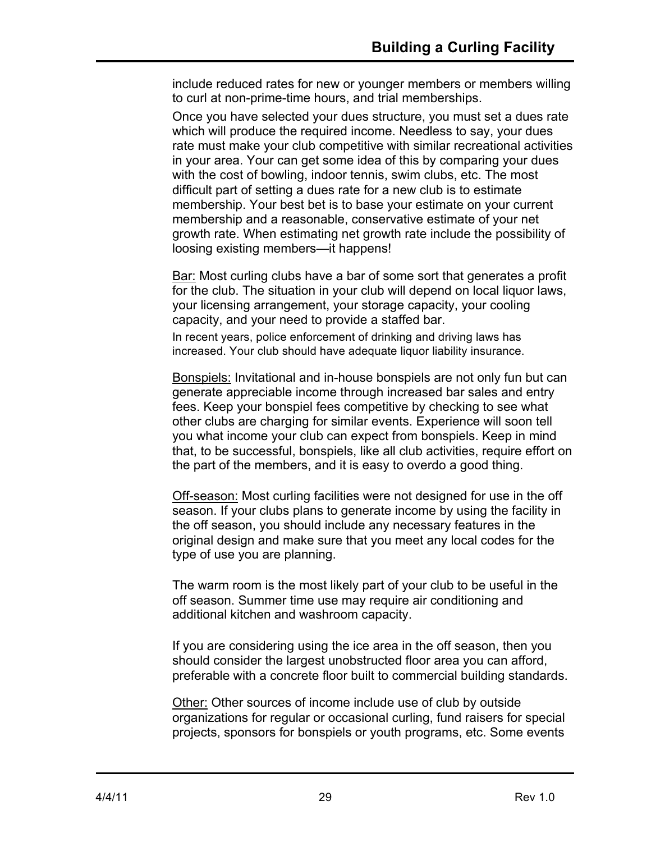include reduced rates for new or younger members or members willing to curl at non-prime-time hours, and trial memberships.

Once you have selected your dues structure, you must set a dues rate which will produce the required income. Needless to say, your dues rate must make your club competitive with similar recreational activities in your area. Your can get some idea of this by comparing your dues with the cost of bowling, indoor tennis, swim clubs, etc. The most difficult part of setting a dues rate for a new club is to estimate membership. Your best bet is to base your estimate on your current membership and a reasonable, conservative estimate of your net growth rate. When estimating net growth rate include the possibility of loosing existing members—it happens!

Bar: Most curling clubs have a bar of some sort that generates a profit for the club. The situation in your club will depend on local liquor laws, your licensing arrangement, your storage capacity, your cooling capacity, and your need to provide a staffed bar.

In recent years, police enforcement of drinking and driving laws has increased. Your club should have adequate liquor liability insurance.

Bonspiels: Invitational and in-house bonspiels are not only fun but can generate appreciable income through increased bar sales and entry fees. Keep your bonspiel fees competitive by checking to see what other clubs are charging for similar events. Experience will soon tell you what income your club can expect from bonspiels. Keep in mind that, to be successful, bonspiels, like all club activities, require effort on the part of the members, and it is easy to overdo a good thing.

Off-season: Most curling facilities were not designed for use in the off season. If your clubs plans to generate income by using the facility in the off season, you should include any necessary features in the original design and make sure that you meet any local codes for the type of use you are planning.

The warm room is the most likely part of your club to be useful in the off season. Summer time use may require air conditioning and additional kitchen and washroom capacity.

If you are considering using the ice area in the off season, then you should consider the largest unobstructed floor area you can afford, preferable with a concrete floor built to commercial building standards.

Other: Other sources of income include use of club by outside organizations for regular or occasional curling, fund raisers for special projects, sponsors for bonspiels or youth programs, etc. Some events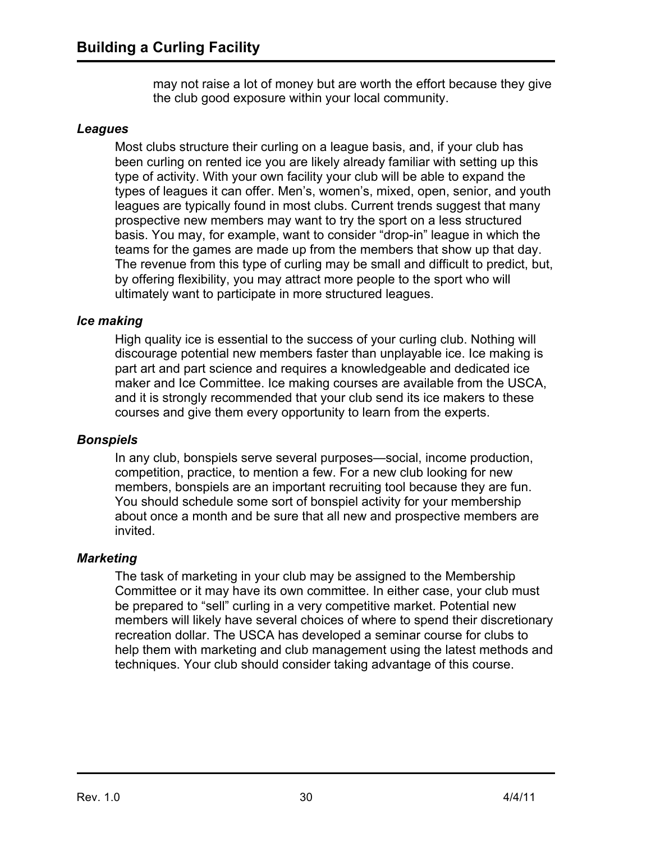may not raise a lot of money but are worth the effort because they give the club good exposure within your local community.

#### *Leagues*

Most clubs structure their curling on a league basis, and, if your club has been curling on rented ice you are likely already familiar with setting up this type of activity. With your own facility your club will be able to expand the types of leagues it can offer. Men's, women's, mixed, open, senior, and youth leagues are typically found in most clubs. Current trends suggest that many prospective new members may want to try the sport on a less structured basis. You may, for example, want to consider "drop-in" league in which the teams for the games are made up from the members that show up that day. The revenue from this type of curling may be small and difficult to predict, but, by offering flexibility, you may attract more people to the sport who will ultimately want to participate in more structured leagues.

#### *Ice making*

High quality ice is essential to the success of your curling club. Nothing will discourage potential new members faster than unplayable ice. Ice making is part art and part science and requires a knowledgeable and dedicated ice maker and Ice Committee. Ice making courses are available from the USCA, and it is strongly recommended that your club send its ice makers to these courses and give them every opportunity to learn from the experts.

#### *Bonspiels*

In any club, bonspiels serve several purposes—social, income production, competition, practice, to mention a few. For a new club looking for new members, bonspiels are an important recruiting tool because they are fun. You should schedule some sort of bonspiel activity for your membership about once a month and be sure that all new and prospective members are invited.

#### *Marketing*

The task of marketing in your club may be assigned to the Membership Committee or it may have its own committee. In either case, your club must be prepared to "sell" curling in a very competitive market. Potential new members will likely have several choices of where to spend their discretionary recreation dollar. The USCA has developed a seminar course for clubs to help them with marketing and club management using the latest methods and techniques. Your club should consider taking advantage of this course.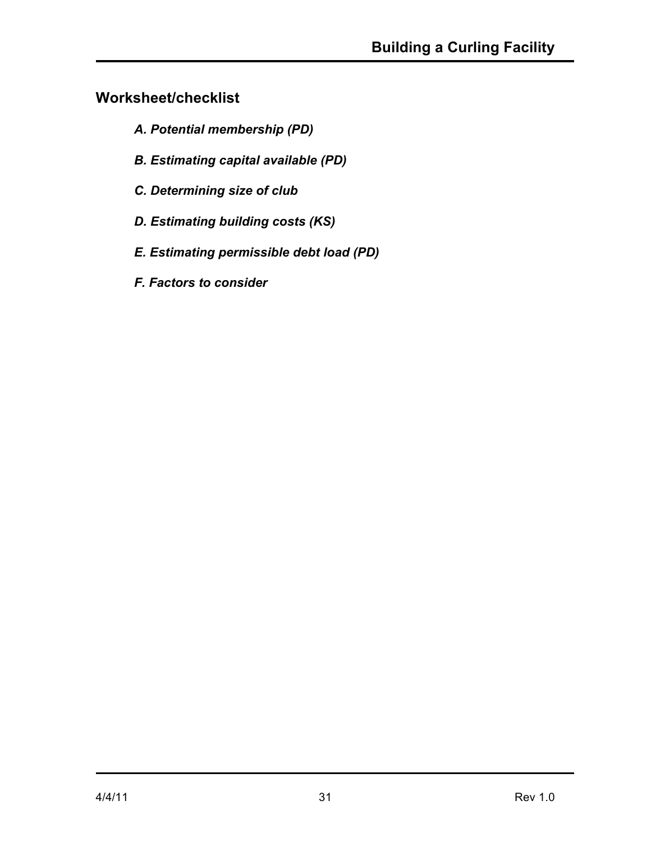# **Worksheet/checklist**

- *A. Potential membership (PD)*
- *B. Estimating capital available (PD)*
- *C. Determining size of club*
- *D. Estimating building costs (KS)*
- *E. Estimating permissible debt load (PD)*
- *F. Factors to consider*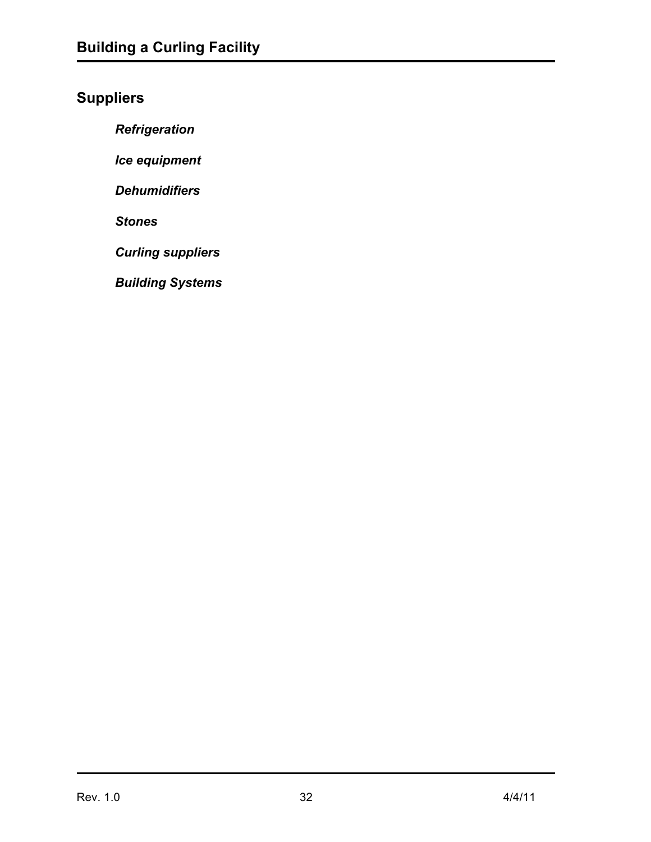# **Suppliers**

*Refrigeration*

*Ice equipment*

*Dehumidifiers*

*Stones*

*Curling suppliers*

*Building Systems*